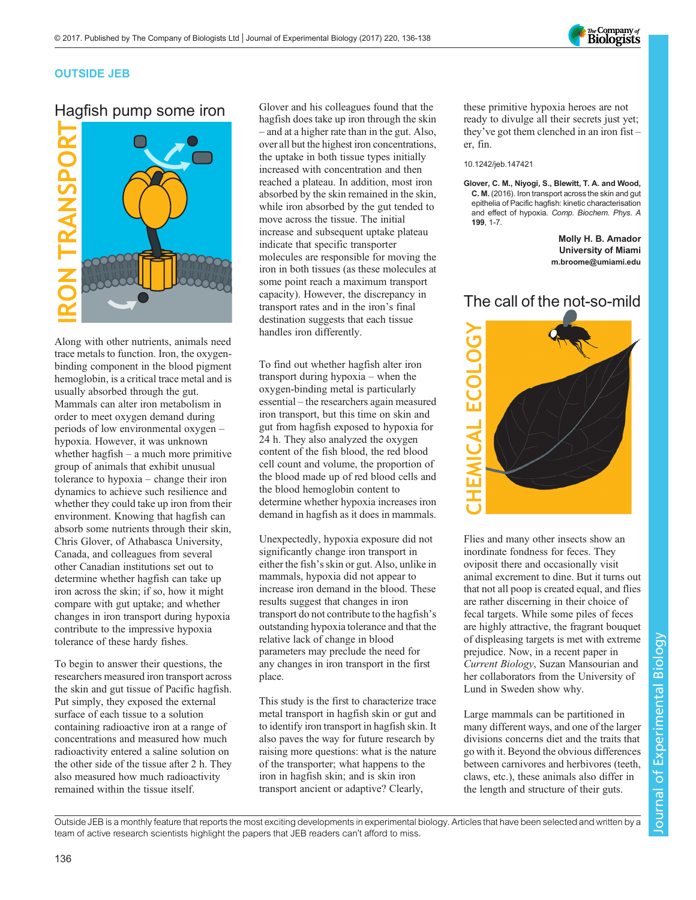

### OUTSIDE JEB

# Hagfish pump some iron



Along with other nutrients, animals need trace metals to function. Iron, the oxygenbinding component in the blood pigment hemoglobin, is a critical trace metal and is usually absorbed through the gut. Mammals can alter iron metabolism in order to meet oxygen demand during periods of low environmental oxygen – hypoxia. However, it was unknown whether hagfish – a much more primitive group of animals that exhibit unusual tolerance to hypoxia – change their iron dynamics to achieve such resilience and whether they could take up iron from their environment. Knowing that hagfish can absorb some nutrients through their skin, Chris Glover, of Athabasca University, Canada, and colleagues from several other Canadian institutions set out to determine whether hagfish can take up iron across the skin; if so, how it might compare with gut uptake; and whether changes in iron transport during hypoxia contribute to the impressive hypoxia tolerance of these hardy fishes.

To begin to answer their questions, the researchers measured iron transport across the skin and gut tissue of Pacific hagfish. Put simply, they exposed the external surface of each tissue to a solution containing radioactive iron at a range of concentrations and measured how much radioactivity entered a saline solution on the other side of the tissue after 2 h. They also measured how much radioactivity remained within the tissue itself.

Glover and his colleagues found that the hagfish does take up iron through the skin – and at a higher rate than in the gut. Also, over all but the highest iron concentrations, the uptake in both tissue types initially increased with concentration and then reached a plateau. In addition, most iron absorbed by the skin remained in the skin, while iron absorbed by the gut tended to move across the tissue. The initial increase and subsequent uptake plateau indicate that specific transporter molecules are responsible for moving the iron in both tissues (as these molecules at some point reach a maximum transport capacity). However, the discrepancy in transport rates and in the iron's final destination suggests that each tissue handles iron differently.

To find out whether hagfish alter iron transport during hypoxia – when the oxygen-binding metal is particularly essential – the researchers again measured iron transport, but this time on skin and gut from hagfish exposed to hypoxia for 24 h. They also analyzed the oxygen content of the fish blood, the red blood cell count and volume, the proportion of the blood made up of red blood cells and the blood hemoglobin content to determine whether hypoxia increases iron demand in hagfish as it does in mammals.

Unexpectedly, hypoxia exposure did not significantly change iron transport in either the fish's skin or gut. Also, unlike in mammals, hypoxia did not appear to increase iron demand in the blood. These results suggest that changes in iron transport do not contribute to the hagfish's outstanding hypoxia tolerance and that the relative lack of change in blood parameters may preclude the need for any changes in iron transport in the first place.

This study is the first to characterize trace metal transport in hagfish skin or gut and to identify iron transport in hagfish skin. It also paves the way for future research by raising more questions: what is the nature of the transporter; what happens to the iron in hagfish skin; and is skin iron transport ancient or adaptive? Clearly,

these primitive hypoxia heroes are not ready to divulge all their secrets just yet; they've got them clenched in an iron fist – er, fin.

#### 10.1242/jeb.147421

[Glover, C. M., Niyogi, S., Blewitt, T. A. and Wood,](http://dx.doi.org/10.1016/j.cbpa.2016.04.018) C. M. [\(2016\). Iron transport across the skin and gut](http://dx.doi.org/10.1016/j.cbpa.2016.04.018) [epithelia of Pacific hagfish: kinetic characterisation](http://dx.doi.org/10.1016/j.cbpa.2016.04.018) and effect of hypoxia. [Comp. Biochem. Phys. A](http://dx.doi.org/10.1016/j.cbpa.2016.04.018) 199[, 1-7.](http://dx.doi.org/10.1016/j.cbpa.2016.04.018)

> Molly H. B. Amador University of Miami [m.broome@umiami.edu](mailto:m.broome@umiami.edu)

### The call of the not-so-mild



Flies and many other insects show an inordinate fondness for feces. They oviposit there and occasionally visit animal excrement to dine. But it turns out that not all poop is created equal, and flies are rather discerning in their choice of fecal targets. While some piles of feces are highly attractive, the fragrant bouquet of displeasing targets is met with extreme prejudice. Now, in a recent paper in Current Biology, Suzan Mansourian and her collaborators from the University of Lund in Sweden show why.

Large mammals can be partitioned in many different ways, and one of the larger divisions concerns diet and the traits that go with it. Beyond the obvious differences between carnivores and herbivores (teeth, claws, etc.), these animals also differ in the length and structure of their guts.

Outside JEB is a monthly feature that reports the most exciting developments in experimental biology. Articles that have been selected and written by a team of active research scientists highlight the papers that JEB readers can't afford to miss.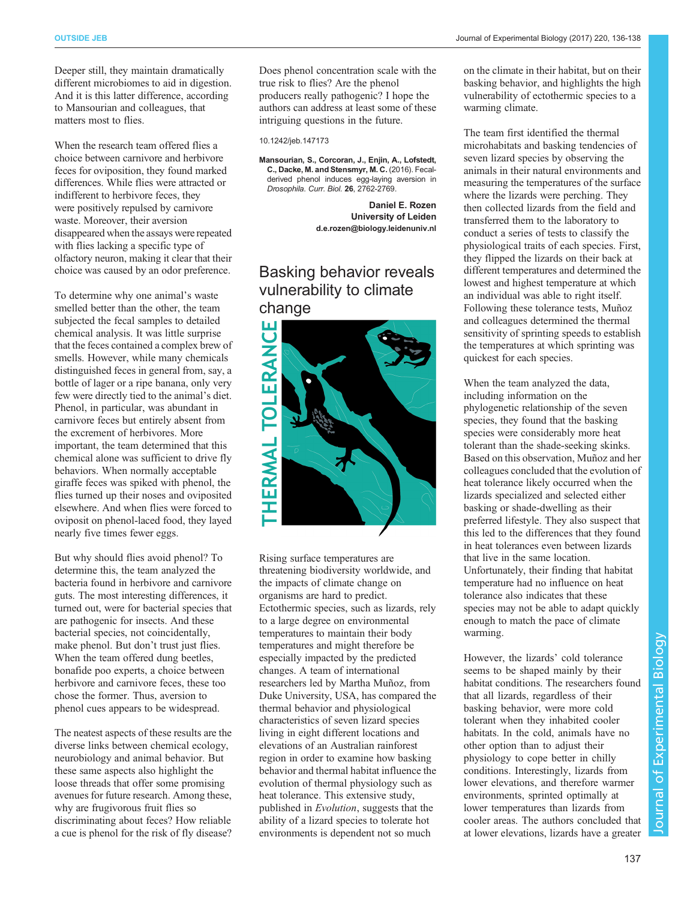Deeper still, they maintain dramatically different microbiomes to aid in digestion. And it is this latter difference, according to Mansourian and colleagues, that matters most to flies.

When the research team offered flies a choice between carnivore and herbivore feces for oviposition, they found marked differences. While flies were attracted or indifferent to herbivore feces, they were positively repulsed by carnivore waste. Moreover, their aversion disappeared when the assays were repeated with flies lacking a specific type of olfactory neuron, making it clear that their choice was caused by an odor preference.

To determine why one animal's waste smelled better than the other, the team subjected the fecal samples to detailed chemical analysis. It was little surprise that the feces contained a complex brew of smells. However, while many chemicals distinguished feces in general from, say, a bottle of lager or a ripe banana, only very few were directly tied to the animal's diet. Phenol, in particular, was abundant in carnivore feces but entirely absent from the excrement of herbivores. More important, the team determined that this chemical alone was sufficient to drive fly behaviors. When normally acceptable giraffe feces was spiked with phenol, the flies turned up their noses and oviposited elsewhere. And when flies were forced to oviposit on phenol-laced food, they layed nearly five times fewer eggs.

But why should flies avoid phenol? To determine this, the team analyzed the bacteria found in herbivore and carnivore guts. The most interesting differences, it turned out, were for bacterial species that are pathogenic for insects. And these bacterial species, not coincidentally, make phenol. But don't trust just flies. When the team offered dung beetles, bonafide poo experts, a choice between herbivore and carnivore feces, these too chose the former. Thus, aversion to phenol cues appears to be widespread.

The neatest aspects of these results are the diverse links between chemical ecology, neurobiology and animal behavior. But these same aspects also highlight the loose threads that offer some promising avenues for future research. Among these, why are frugivorous fruit flies so discriminating about feces? How reliable a cue is phenol for the risk of fly disease?

Does phenol concentration scale with the true risk to flies? Are the phenol producers really pathogenic? I hope the authors can address at least some of these intriguing questions in the future.

10.1242/jeb.147173

[Mansourian, S., Corcoran, J., Enjin, A., Lofstedt,](http://dx.doi.org/10.1016/j.cub.2016.07.065) [C., Dacke, M. and Stensmyr, M. C.](http://dx.doi.org/10.1016/j.cub.2016.07.065) (2016). Fecal[derived phenol induces egg-laying aversion in](http://dx.doi.org/10.1016/j.cub.2016.07.065) Drosophila. Curr. Biol. 26[, 2762-2769.](http://dx.doi.org/10.1016/j.cub.2016.07.065)

> Daniel E. Rozen University of Leiden [d.e.rozen@biology.leidenuniv.nl](mailto:d.e.rozen@biology.leidenuniv.nl)

# Basking behavior reveals vulnerability to climate change



Rising surface temperatures are threatening biodiversity worldwide, and the impacts of climate change on organisms are hard to predict. Ectothermic species, such as lizards, rely to a large degree on environmental temperatures to maintain their body temperatures and might therefore be especially impacted by the predicted changes. A team of international researchers led by Martha Muñoz, from Duke University, USA, has compared the thermal behavior and physiological characteristics of seven lizard species living in eight different locations and elevations of an Australian rainforest region in order to examine how basking behavior and thermal habitat influence the evolution of thermal physiology such as heat tolerance. This extensive study, published in Evolution, suggests that the ability of a lizard species to tolerate hot environments is dependent not so much

on the climate in their habitat, but on their basking behavior, and highlights the high vulnerability of ectothermic species to a warming climate.

The team first identified the thermal microhabitats and basking tendencies of seven lizard species by observing the animals in their natural environments and measuring the temperatures of the surface where the lizards were perching. They then collected lizards from the field and transferred them to the laboratory to conduct a series of tests to classify the physiological traits of each species. First, they flipped the lizards on their back at different temperatures and determined the lowest and highest temperature at which an individual was able to right itself. Following these tolerance tests, Muñoz and colleagues determined the thermal sensitivity of sprinting speeds to establish the temperatures at which sprinting was quickest for each species.

When the team analyzed the data, including information on the phylogenetic relationship of the seven species, they found that the basking species were considerably more heat tolerant than the shade-seeking skinks. Based on this observation, Muñoz and her colleagues concluded that the evolution of heat tolerance likely occurred when the lizards specialized and selected either basking or shade-dwelling as their preferred lifestyle. They also suspect that this led to the differences that they found in heat tolerances even between lizards that live in the same location. Unfortunately, their finding that habitat temperature had no influence on heat tolerance also indicates that these species may not be able to adapt quickly enough to match the pace of climate warming.

However, the lizards' cold tolerance seems to be shaped mainly by their habitat conditions. The researchers found that all lizards, regardless of their basking behavior, were more cold tolerant when they inhabited cooler habitats. In the cold, animals have no other option than to adjust their physiology to cope better in chilly conditions. Interestingly, lizards from lower elevations, and therefore warmer environments, sprinted optimally at lower temperatures than lizards from cooler areas. The authors concluded that at lower elevations, lizards have a greater